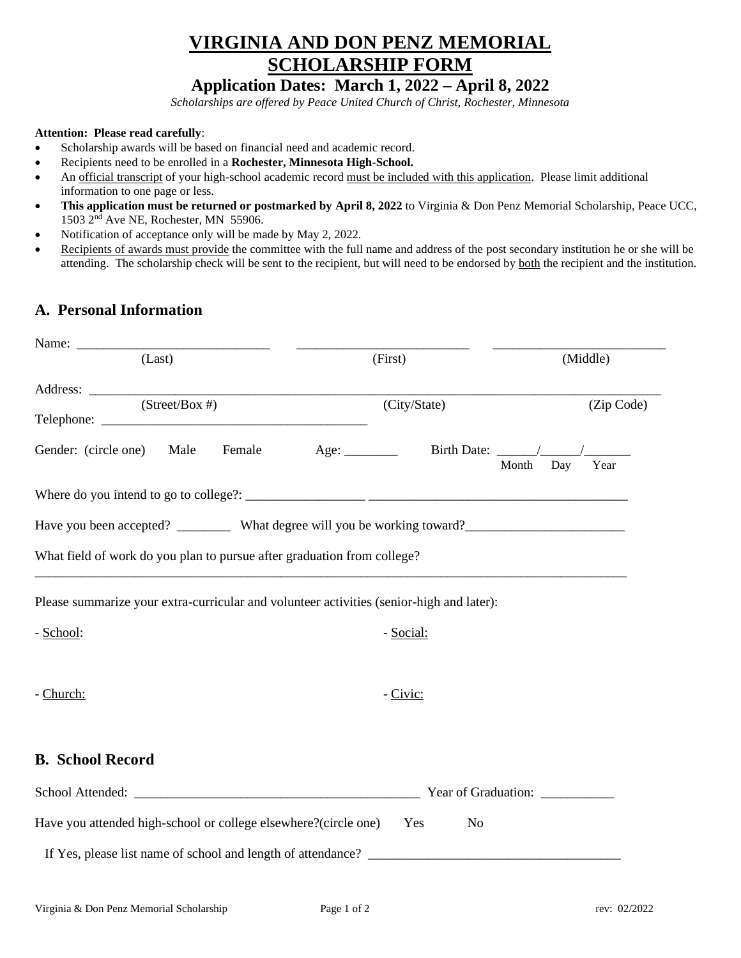## **VIRGINIA AND DON PENZ MEMORIAL SCHOLARSHIP FORM**

## **Application Dates: March 1, 2022 – April 8, 2022**

*Scholarships are offered by Peace United Church of Christ, Rochester, Minnesota*

## **Attention: Please read carefully**:

- Scholarship awards will be based on financial need and academic record.
- Recipients need to be enrolled in a **Rochester, Minnesota High-School.**
- An official transcript of your high-school academic record must be included with this application. Please limit additional information to one page or less.
- **This application must be returned or postmarked by April 8, 2022** to Virginia & Don Penz Memorial Scholarship, Peace UCC, 1503 2<sup>nd</sup> Ave NE, Rochester, MN 55906.
- Notification of acceptance only will be made by May 2, 2022*.*
- Recipients of awards must provide the committee with the full name and address of the post secondary institution he or she will be attending. The scholarship check will be sent to the recipient, but will need to be endorsed by both the recipient and the institution.

## **A. Personal Information**

| (Last)                                                                                               | (First)               |           | (Middle)   |
|------------------------------------------------------------------------------------------------------|-----------------------|-----------|------------|
|                                                                                                      |                       |           |            |
| $(Street/Box \#)$                                                                                    | (City/State)          |           | (Zip Code) |
| Gender: (circle one) Male                                                                            |                       |           |            |
|                                                                                                      |                       | Month Day | Year       |
|                                                                                                      |                       |           |            |
| Have you been accepted? __________ What degree will you be working toward? _________________________ |                       |           |            |
| What field of work do you plan to pursue after graduation from college?                              |                       |           |            |
| Please summarize your extra-curricular and volunteer activities (senior-high and later):             |                       |           |            |
| - School:                                                                                            | - Social:             |           |            |
|                                                                                                      |                       |           |            |
| - Church:                                                                                            | - Civic:              |           |            |
|                                                                                                      |                       |           |            |
| <b>B.</b> School Record                                                                              |                       |           |            |
|                                                                                                      |                       |           |            |
| Have you attended high-school or college elsewhere?(circle one)                                      | Yes<br>N <sub>o</sub> |           |            |
| If Yes, please list name of school and length of attendance?                                         |                       |           |            |